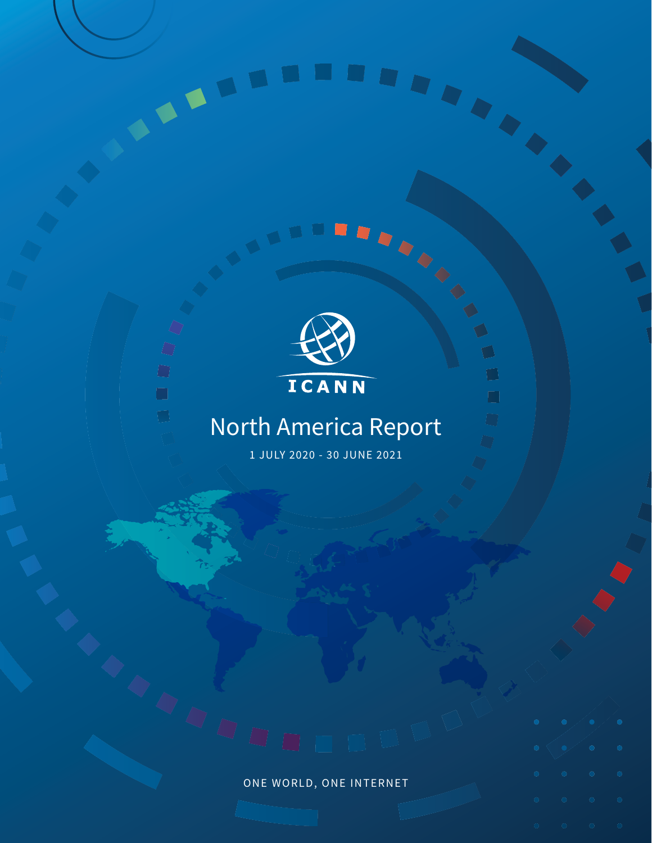



 $\blacksquare$ 

 $\Box$ 

 $\bigcirc$ 

 $\Box$ 

 $\Box$ 

# North America Report

1 JULY 2020 - 30 JUNE 2021

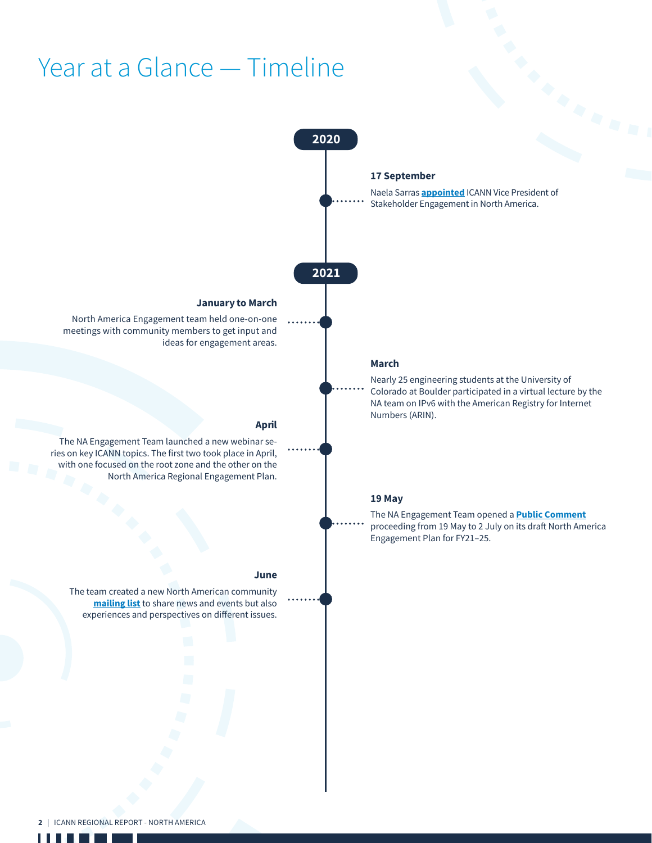# Year at a Glance — Timeline



2 | ICANN REGIONAL REPORT - NORTH AMERICA

. . .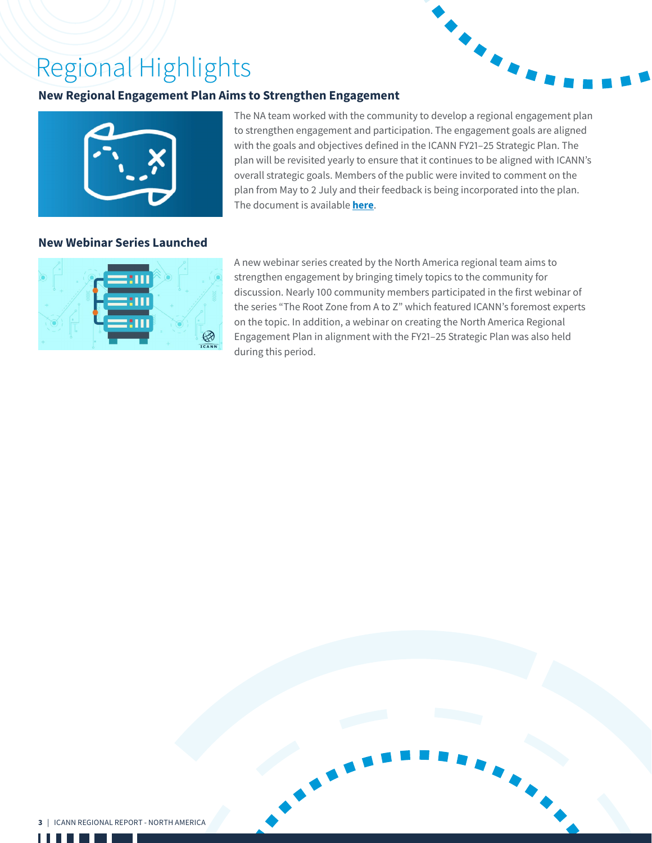# Regional Highlights

# **New Regional Engagement Plan Aims to Strengthen Engagement**





### **New Webinar Series Launched**

The NA team worked with the community to develop a regional engagement plan to strengthen engagement and participation. The engagement goals are aligned with the goals and objectives defined in the ICANN FY21–25 Strategic Plan. The plan will be revisited yearly to ensure that it continues to be aligned with ICANN's overall strategic goals. Members of the public were invited to comment on the plan from May to 2 July and their feedback is being incorporated into the plan. The document is available **[here](https://www.icann.org/en/system/files/files/na-engagement-plan-fy2021-2025-24aug21-en.pdf)**.



A new webinar series created by the North America regional team aims to strengthen engagement by bringing timely topics to the community for discussion. Nearly 100 community members participated in the first webinar of the series "The Root Zone from A to Z" which featured ICANN's foremost experts on the topic. In addition, a webinar on creating the North America Regional Engagement Plan in alignment with the FY21–25 Strategic Plan was also held during this period.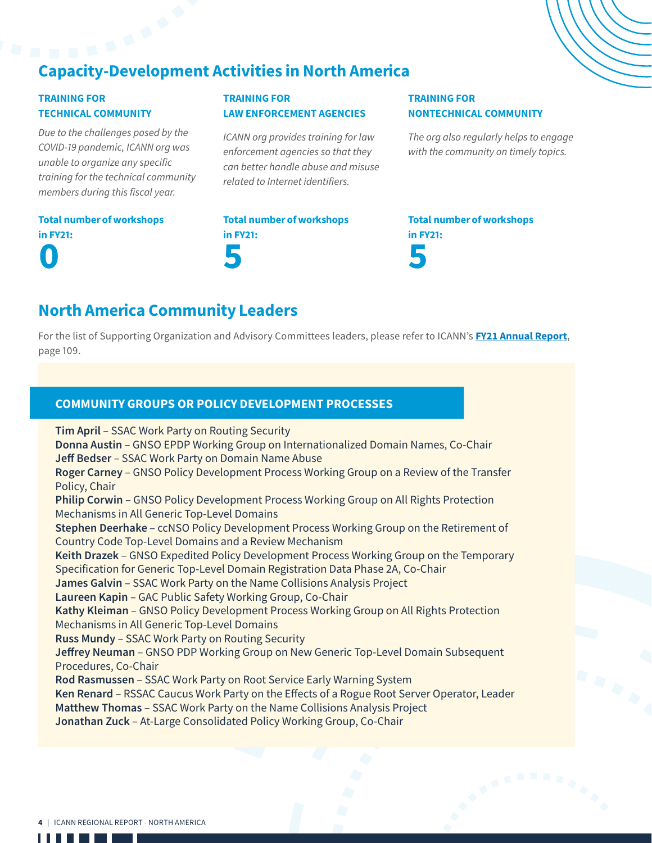# Capacity-Development Activities in North America

# TRAINING FOR TECHNICAL COMMUNITY

*Due to the challenges posed by the COVID-19 pandemic, ICANN org was unable to organize any specific training for the technical community members during this fiscal year.*

# TRAINING FOR LAW ENFORCEMENT AGENCIES

*ICANN org provides training for law enforcement agencies so that they can better handle abuse and misuse related to Internet identifiers.*

## TRAINING FOR NONTECHNICAL COMMUNITY

*The org also regularly helps to engage with the community on timely topics.*

# Total number of workshops in FY21: 0

Total number of workshops in FY21: 5

Total number of workshops in FY21: 5

# North America Community Leaders

For the list of Supporting Organization and Advisory Committees leaders, please refer to ICANN's **[FY21 Annual Report](https://www.icann.org/en/system/files/files/annual-report-2021-en.pdf)**, page 109.

# COMMUNITY GROUPS OR POLICY DEVELOPMENT PROCESSES

**Tim April** – SSAC Work Party on Routing Security **Donna Austin** – GNSO EPDP Working Group on Internationalized Domain Names, Co-Chair **Jeff Bedser** – SSAC Work Party on Domain Name Abuse **Roger Carney** – GNSO Policy Development Process Working Group on a Review of the Transfer Policy, Chair **Philip Corwin** – GNSO Policy Development Process Working Group on All Rights Protection Mechanisms in All Generic Top-Level Domains **Stephen Deerhake** – ccNSO Policy Development Process Working Group on the Retirement of Country Code Top-Level Domains and a Review Mechanism **Keith Drazek** – GNSO Expedited Policy Development Process Working Group on the Temporary Specification for Generic Top-Level Domain Registration Data Phase 2A, Co-Chair **James Galvin** – SSAC Work Party on the Name Collisions Analysis Project **Laureen Kapin** – GAC Public Safety Working Group, Co-Chair **Kathy Kleiman** – GNSO Policy Development Process Working Group on All Rights Protection Mechanisms in All Generic Top-Level Domains **Russ Mundy** – SSAC Work Party on Routing Security **Jeffrey Neuman** – GNSO PDP Working Group on New Generic Top-Level Domain Subsequent Procedures, Co-Chair **Rod Rasmussen** – SSAC Work Party on Root Service Early Warning System **Ken Renard** – RSSAC Caucus Work Party on the Effects of a Rogue Root Server Operator, Leader **Matthew Thomas** – SSAC Work Party on the Name Collisions Analysis Project **Jonathan Zuck** – At-Large Consolidated Policy Working Group, Co-Chair